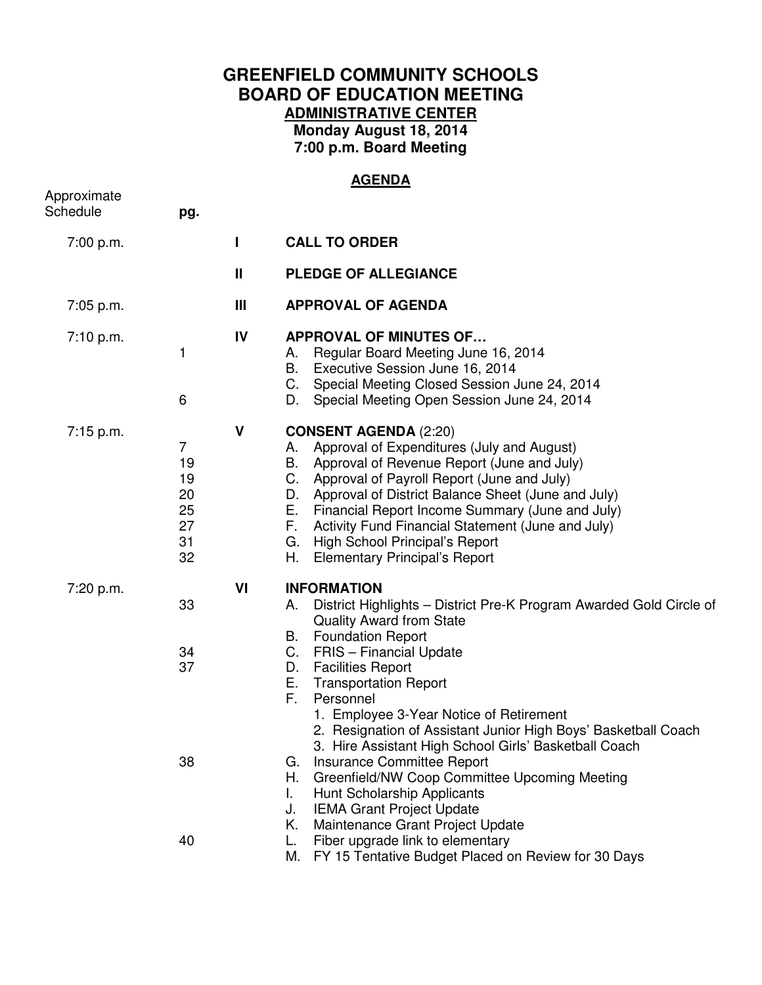## **GREENFIELD COMMUNITY SCHOOLS BOARD OF EDUCATION MEETING ADMINISTRATIVE CENTER Monday August 18, 2014 7:00 p.m. Board Meeting**

## **AGENDA**

| Approximate<br>Schedule | pg.                                                      |              |                                                                                                                                                                                                                                                                                                                                                                                                                                                                                                                                                                                                                                                                                                   |
|-------------------------|----------------------------------------------------------|--------------|---------------------------------------------------------------------------------------------------------------------------------------------------------------------------------------------------------------------------------------------------------------------------------------------------------------------------------------------------------------------------------------------------------------------------------------------------------------------------------------------------------------------------------------------------------------------------------------------------------------------------------------------------------------------------------------------------|
| 7:00 p.m.               |                                                          |              | <b>CALL TO ORDER</b>                                                                                                                                                                                                                                                                                                                                                                                                                                                                                                                                                                                                                                                                              |
|                         |                                                          | $\mathbf{H}$ | <b>PLEDGE OF ALLEGIANCE</b>                                                                                                                                                                                                                                                                                                                                                                                                                                                                                                                                                                                                                                                                       |
| $7:05$ p.m.             |                                                          | Ш            | <b>APPROVAL OF AGENDA</b>                                                                                                                                                                                                                                                                                                                                                                                                                                                                                                                                                                                                                                                                         |
| 7:10 p.m.               | 1<br>6                                                   | IV           | <b>APPROVAL OF MINUTES OF</b><br>Regular Board Meeting June 16, 2014<br>А.<br>Executive Session June 16, 2014<br>В.<br>Special Meeting Closed Session June 24, 2014<br>C.<br>Special Meeting Open Session June 24, 2014<br>D.                                                                                                                                                                                                                                                                                                                                                                                                                                                                     |
| 7:15 p.m.               | $\overline{7}$<br>19<br>19<br>20<br>25<br>27<br>31<br>32 | V            | <b>CONSENT AGENDA (2:20)</b><br>Approval of Expenditures (July and August)<br>А.<br>Approval of Revenue Report (June and July)<br>В.<br>C.<br>Approval of Payroll Report (June and July)<br>Approval of District Balance Sheet (June and July)<br>D.<br>Financial Report Income Summary (June and July)<br>Е.<br>F.<br>Activity Fund Financial Statement (June and July)<br>High School Principal's Report<br>G.<br><b>Elementary Principal's Report</b><br>Н.                                                                                                                                                                                                                                    |
| 7:20 p.m.               | 33<br>34<br>37<br>38                                     | VI           | <b>INFORMATION</b><br>District Highlights - District Pre-K Program Awarded Gold Circle of<br>А.<br><b>Quality Award from State</b><br><b>Foundation Report</b><br>B.<br>C.<br><b>FRIS</b> – Financial Update<br><b>Facilities Report</b><br>D.<br>Е.<br><b>Transportation Report</b><br>F.<br>Personnel<br>1. Employee 3-Year Notice of Retirement<br>2. Resignation of Assistant Junior High Boys' Basketball Coach<br>3. Hire Assistant High School Girls' Basketball Coach<br>Insurance Committee Report<br>G.<br>Н.<br>Greenfield/NW Coop Committee Upcoming Meeting<br>Hunt Scholarship Applicants<br>L.<br><b>IEMA Grant Project Update</b><br>J.<br>Maintenance Grant Project Update<br>Κ. |
|                         | 40                                                       |              | Fiber upgrade link to elementary<br>L.<br>FY 15 Tentative Budget Placed on Review for 30 Days<br>М.                                                                                                                                                                                                                                                                                                                                                                                                                                                                                                                                                                                               |